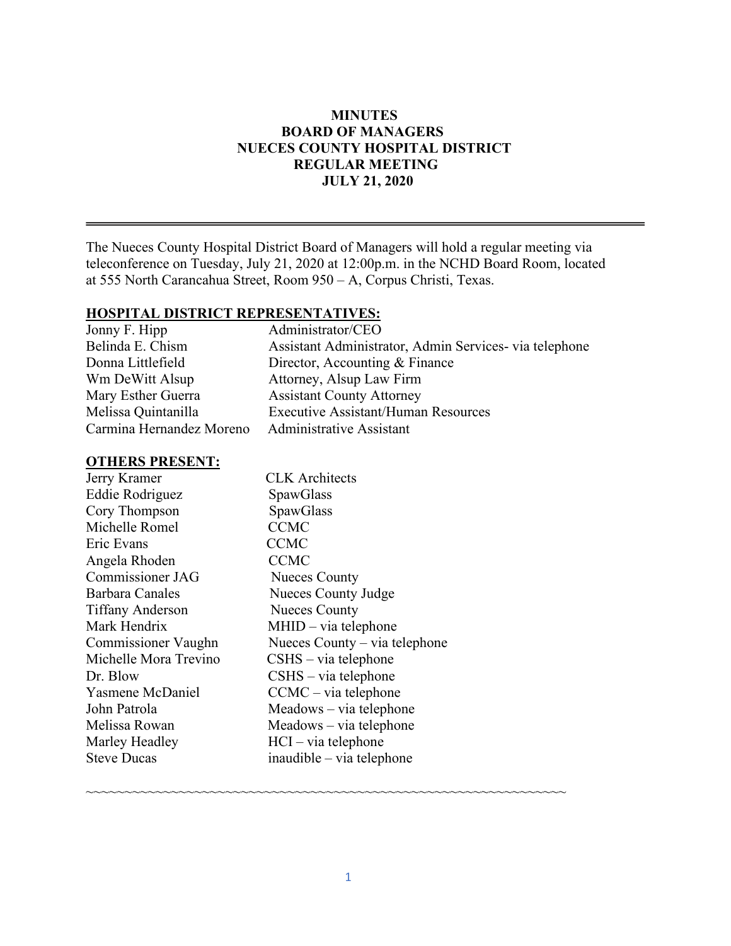# **MINUTES BOARD OF MANAGERS NUECES COUNTY HOSPITAL DISTRICT REGULAR MEETING JULY 21, 2020**

The Nueces County Hospital District Board of Managers will hold a regular meeting via teleconference on Tuesday, July 21, 2020 at 12:00p.m. in the NCHD Board Room, located at 555 North Carancahua Street, Room 950 – A, Corpus Christi, Texas.

#### **HOSPITAL DISTRICT REPRESENTATIVES:**

| Assistant Administrator, Admin Services- via telephone |
|--------------------------------------------------------|
|                                                        |
|                                                        |
|                                                        |
|                                                        |
|                                                        |
|                                                        |

### **OTHERS PRESENT:**

| Jerry Kramer            | <b>CLK</b> Architects         |
|-------------------------|-------------------------------|
| Eddie Rodriguez         | SpawGlass                     |
| Cory Thompson           | SpawGlass                     |
| Michelle Romel          | <b>CCMC</b>                   |
| Eric Evans              | <b>CCMC</b>                   |
| Angela Rhoden           | <b>CCMC</b>                   |
| Commissioner JAG        | <b>Nueces County</b>          |
| Barbara Canales         | Nueces County Judge           |
| <b>Tiffany Anderson</b> | <b>Nueces County</b>          |
| Mark Hendrix            | $MHID - via telephone$        |
| Commissioner Vaughn     | Nueces County – via telephone |
| Michelle Mora Trevino   | $CSHS - via telephone$        |
| Dr. Blow                | $CSHS - via telephone$        |
| Yasmene McDaniel        | $CCMC - via telephone$        |
| John Patrola            | Meadows – via telephone       |
| Melissa Rowan           | Meadows – via telephone       |
| Marley Headley          | $HCI - via telephone$         |
| <b>Steve Ducas</b>      | inaudible – via telephone     |
|                         |                               |

~~~~~~~~~~~~~~~~~~~~~~~~~~~~~~~~~~~~~~~~~~~~~~~~~~~~~~~~~~~~~~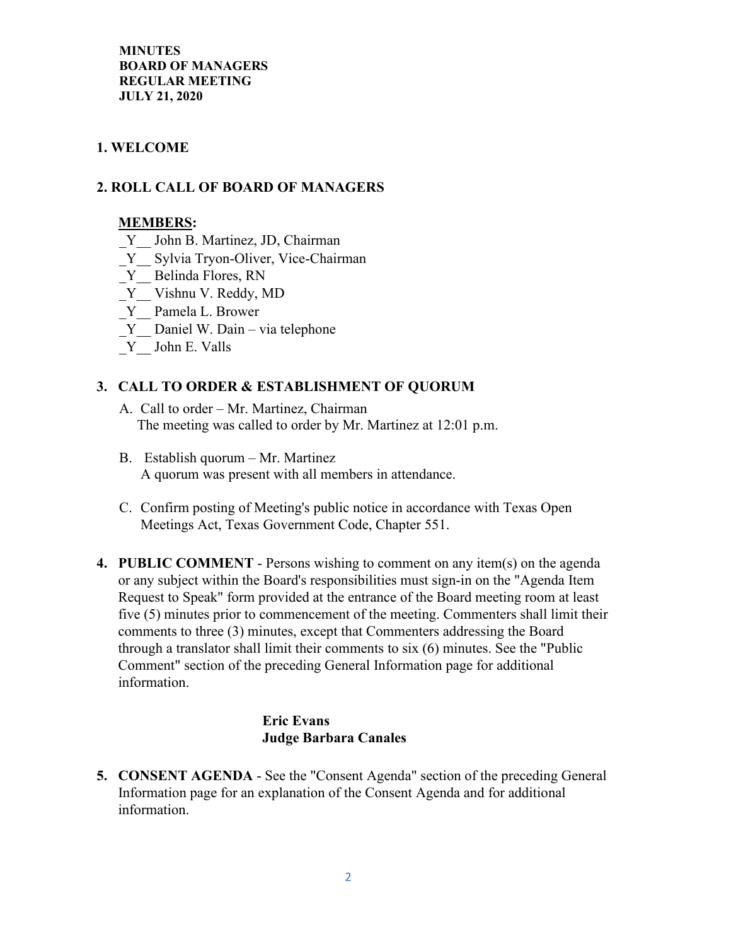# **1. WELCOME**

### **2. ROLL CALL OF BOARD OF MANAGERS**

#### **MEMBERS:**

- Y John B. Martinez, JD, Chairman
- Y Sylvia Tryon-Oliver, Vice-Chairman
- Y Belinda Flores, RN
- Y Vishnu V. Reddy, MD
- \_Y\_\_ Pamela L. Brower
- Y Daniel W. Dain via telephone
- \_Y\_\_ John E. Valls

#### **3. CALL TO ORDER & ESTABLISHMENT OF QUORUM**

- A. Call to order Mr. Martinez, Chairman The meeting was called to order by Mr. Martinez at 12:01 p.m.
- B. Establish quorum Mr. Martinez A quorum was present with all members in attendance.
- C. Confirm posting of Meeting's public notice in accordance with Texas Open Meetings Act, Texas Government Code, Chapter 551.
- **4. PUBLIC COMMENT** Persons wishing to comment on any item(s) on the agenda or any subject within the Board's responsibilities must sign-in on the "Agenda Item Request to Speak" form provided at the entrance of the Board meeting room at least five (5) minutes prior to commencement of the meeting. Commenters shall limit their comments to three (3) minutes, except that Commenters addressing the Board through a translator shall limit their comments to six (6) minutes. See the "Public Comment" section of the preceding General Information page for additional information.

# **Eric Evans Judge Barbara Canales**

**5. CONSENT AGENDA** - See the "Consent Agenda" section of the preceding General Information page for an explanation of the Consent Agenda and for additional information.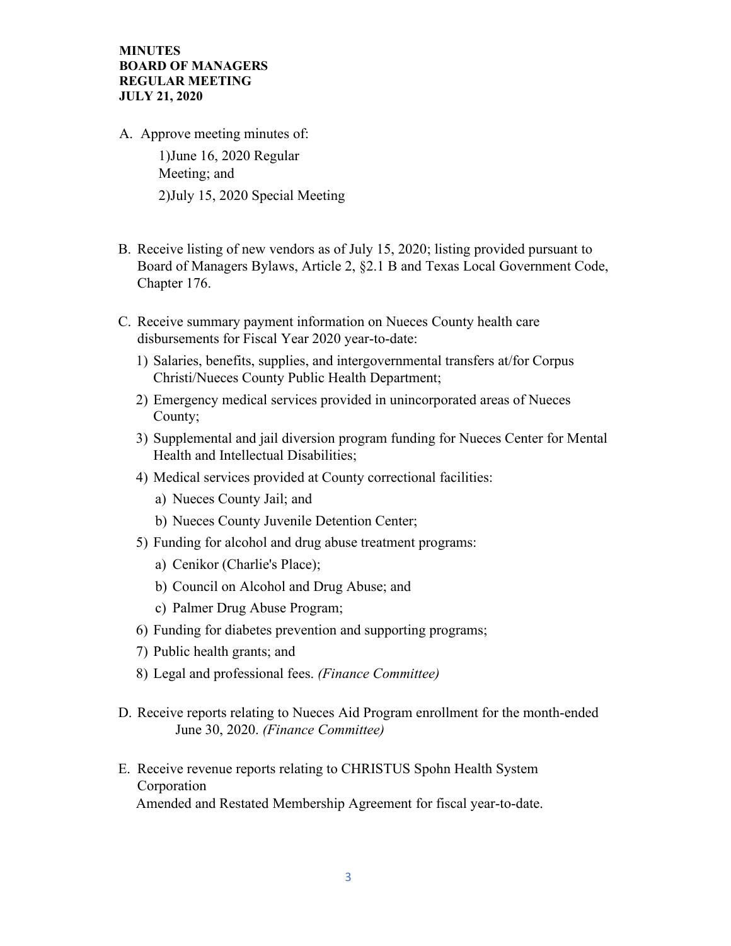- A. Approve meeting minutes of: 1)June 16, 2020 Regular Meeting; and 2)July 15, 2020 Special Meeting
- B. Receive listing of new vendors as of July 15, 2020; listing provided pursuant to Board of Managers Bylaws, Article 2, §2.1 B and Texas Local Government Code, Chapter 176.
- C. Receive summary payment information on Nueces County health care disbursements for Fiscal Year 2020 year-to-date:
	- 1) Salaries, benefits, supplies, and intergovernmental transfers at/for Corpus Christi/Nueces County Public Health Department;
	- 2) Emergency medical services provided in unincorporated areas of Nueces County;
	- 3) Supplemental and jail diversion program funding for Nueces Center for Mental Health and Intellectual Disabilities;
	- 4) Medical services provided at County correctional facilities:
		- a) Nueces County Jail; and
		- b) Nueces County Juvenile Detention Center;
	- 5) Funding for alcohol and drug abuse treatment programs:
		- a) Cenikor (Charlie's Place);
		- b) Council on Alcohol and Drug Abuse; and
		- c) Palmer Drug Abuse Program;
	- 6) Funding for diabetes prevention and supporting programs;
	- 7) Public health grants; and
	- 8) Legal and professional fees. *(Finance Committee)*
- D. Receive reports relating to Nueces Aid Program enrollment for the month-ended June 30, 2020. *(Finance Committee)*
- E. Receive revenue reports relating to CHRISTUS Spohn Health System Corporation Amended and Restated Membership Agreement for fiscal year-to-date.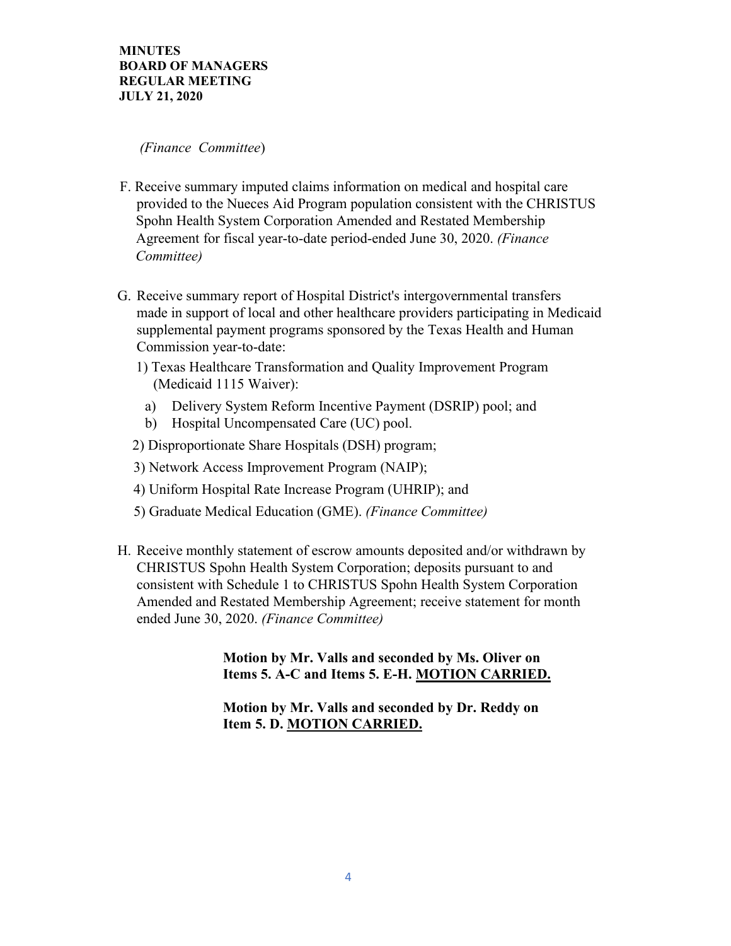#### *(Finance Committee*)

- F. Receive summary imputed claims information on medical and hospital care provided to the Nueces Aid Program population consistent with the CHRISTUS Spohn Health System Corporation Amended and Restated Membership Agreement for fiscal year-to-date period-ended June 30, 2020. *(Finance Committee)*
- G. Receive summary report of Hospital District's intergovernmental transfers made in support of local and other healthcare providers participating in Medicaid supplemental payment programs sponsored by the Texas Health and Human Commission year-to-date:
	- 1) Texas Healthcare Transformation and Quality Improvement Program (Medicaid 1115 Waiver):
		- a) Delivery System Reform Incentive Payment (DSRIP) pool; and
		- b) Hospital Uncompensated Care (UC) pool.
	- 2) Disproportionate Share Hospitals (DSH) program;
	- 3) Network Access Improvement Program (NAIP);
	- 4) Uniform Hospital Rate Increase Program (UHRIP); and
	- 5) Graduate Medical Education (GME). *(Finance Committee)*
- H. Receive monthly statement of escrow amounts deposited and/or withdrawn by CHRISTUS Spohn Health System Corporation; deposits pursuant to and consistent with Schedule 1 to CHRISTUS Spohn Health System Corporation Amended and Restated Membership Agreement; receive statement for month ended June 30, 2020. *(Finance Committee)*

 **Motion by Mr. Valls and seconded by Ms. Oliver on Items 5. A-C and Items 5. E-H. MOTION CARRIED.** 

 **Motion by Mr. Valls and seconded by Dr. Reddy on Item 5. D. MOTION CARRIED.**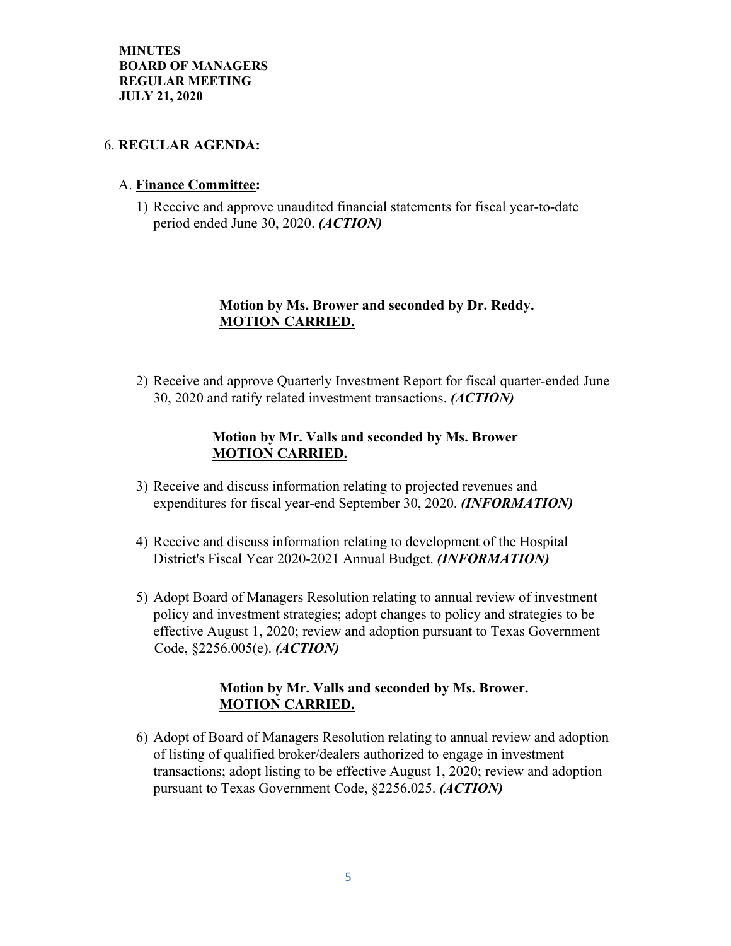#### 6. **REGULAR AGENDA:**

#### A. **Finance Committee:**

1) Receive and approve unaudited financial statements for fiscal year-to-date period ended June 30, 2020. *(ACTION)* 

# **Motion by Ms. Brower and seconded by Dr. Reddy. MOTION CARRIED.**

2) Receive and approve Quarterly Investment Report for fiscal quarter-ended June 30, 2020 and ratify related investment transactions. *(ACTION)*

#### **Motion by Mr. Valls and seconded by Ms. Brower MOTION CARRIED.**

- 3) Receive and discuss information relating to projected revenues and expenditures for fiscal year-end September 30, 2020. *(INFORMATION)*
- 4) Receive and discuss information relating to development of the Hospital District's Fiscal Year 2020-2021 Annual Budget. *(INFORMATION)*
- 5) Adopt Board of Managers Resolution relating to annual review of investment policy and investment strategies; adopt changes to policy and strategies to be effective August 1, 2020; review and adoption pursuant to Texas Government Code, §2256.005(e). *(ACTION)*

### **Motion by Mr. Valls and seconded by Ms. Brower. MOTION CARRIED.**

6) Adopt of Board of Managers Resolution relating to annual review and adoption of listing of qualified broker/dealers authorized to engage in investment transactions; adopt listing to be effective August 1, 2020; review and adoption pursuant to Texas Government Code, §2256.025. *(ACTION)*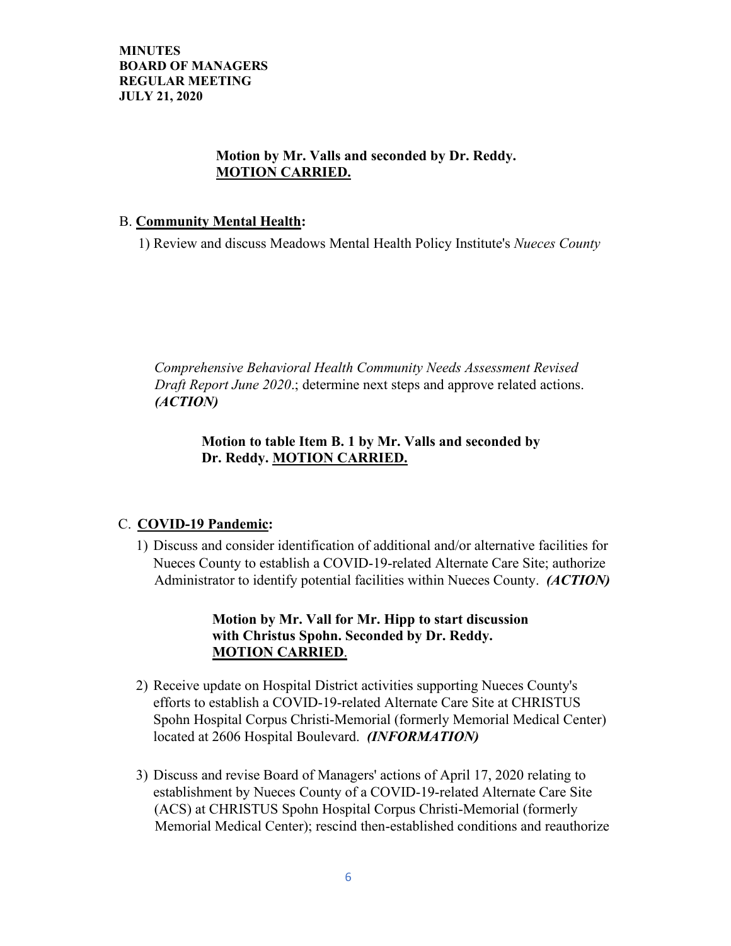#### **Motion by Mr. Valls and seconded by Dr. Reddy. MOTION CARRIED.**

#### B. **Community Mental Health:**

1) Review and discuss Meadows Mental Health Policy Institute's *Nueces County* 

*Comprehensive Behavioral Health Community Needs Assessment Revised Draft Report June 2020*.; determine next steps and approve related actions. *(ACTION)*

### **Motion to table Item B. 1 by Mr. Valls and seconded by Dr. Reddy. MOTION CARRIED.**

# C. **COVID-19 Pandemic:**

1) Discuss and consider identification of additional and/or alternative facilities for Nueces County to establish a COVID-19-related Alternate Care Site; authorize Administrator to identify potential facilities within Nueces County. *(ACTION)*

# **Motion by Mr. Vall for Mr. Hipp to start discussion with Christus Spohn. Seconded by Dr. Reddy. MOTION CARRIED**.

- 2) Receive update on Hospital District activities supporting Nueces County's efforts to establish a COVID-19-related Alternate Care Site at CHRISTUS Spohn Hospital Corpus Christi-Memorial (formerly Memorial Medical Center) located at 2606 Hospital Boulevard. *(INFORMATION)*
- 3) Discuss and revise Board of Managers' actions of April 17, 2020 relating to establishment by Nueces County of a COVID-19-related Alternate Care Site (ACS) at CHRISTUS Spohn Hospital Corpus Christi-Memorial (formerly Memorial Medical Center); rescind then-established conditions and reauthorize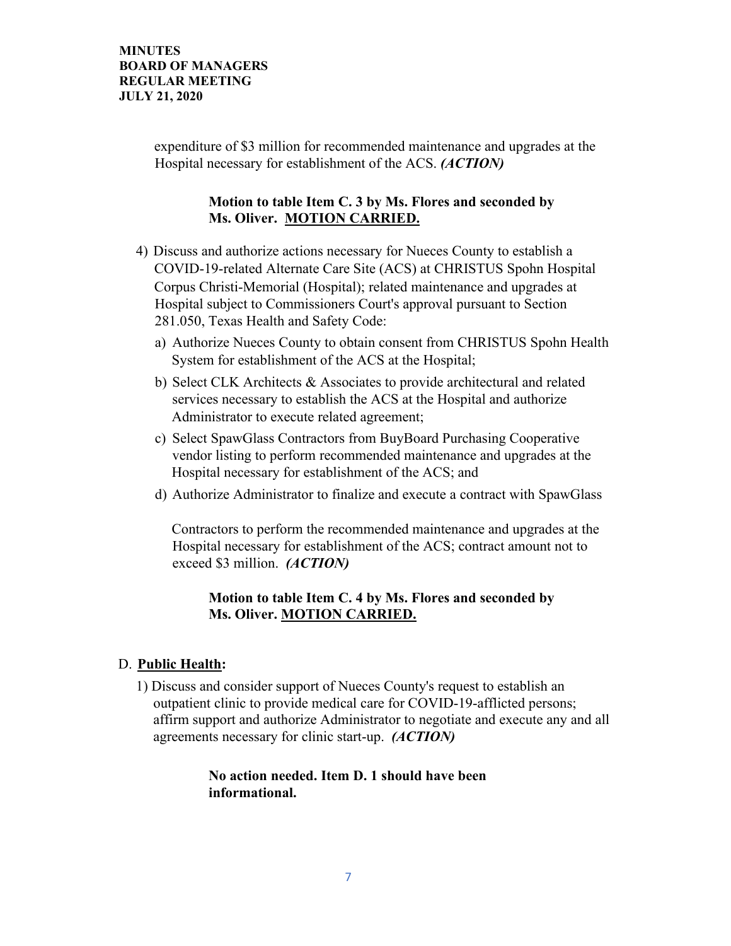expenditure of \$3 million for recommended maintenance and upgrades at the Hospital necessary for establishment of the ACS. *(ACTION)*

### **Motion to table Item C. 3 by Ms. Flores and seconded by Ms. Oliver. MOTION CARRIED.**

- 4) Discuss and authorize actions necessary for Nueces County to establish a COVID-19-related Alternate Care Site (ACS) at CHRISTUS Spohn Hospital Corpus Christi-Memorial (Hospital); related maintenance and upgrades at Hospital subject to Commissioners Court's approval pursuant to Section 281.050, Texas Health and Safety Code:
	- a) Authorize Nueces County to obtain consent from CHRISTUS Spohn Health System for establishment of the ACS at the Hospital;
	- b) Select CLK Architects & Associates to provide architectural and related services necessary to establish the ACS at the Hospital and authorize Administrator to execute related agreement;
	- c) Select SpawGlass Contractors from BuyBoard Purchasing Cooperative vendor listing to perform recommended maintenance and upgrades at the Hospital necessary for establishment of the ACS; and
	- d) Authorize Administrator to finalize and execute a contract with SpawGlass

Contractors to perform the recommended maintenance and upgrades at the Hospital necessary for establishment of the ACS; contract amount not to exceed \$3 million. *(ACTION)* 

### **Motion to table Item C. 4 by Ms. Flores and seconded by Ms. Oliver. MOTION CARRIED.**

#### D. **Public Health:**

1) Discuss and consider support of Nueces County's request to establish an outpatient clinic to provide medical care for COVID-19-afflicted persons; affirm support and authorize Administrator to negotiate and execute any and all agreements necessary for clinic start-up. *(ACTION)*

#### **No action needed. Item D. 1 should have been informational.**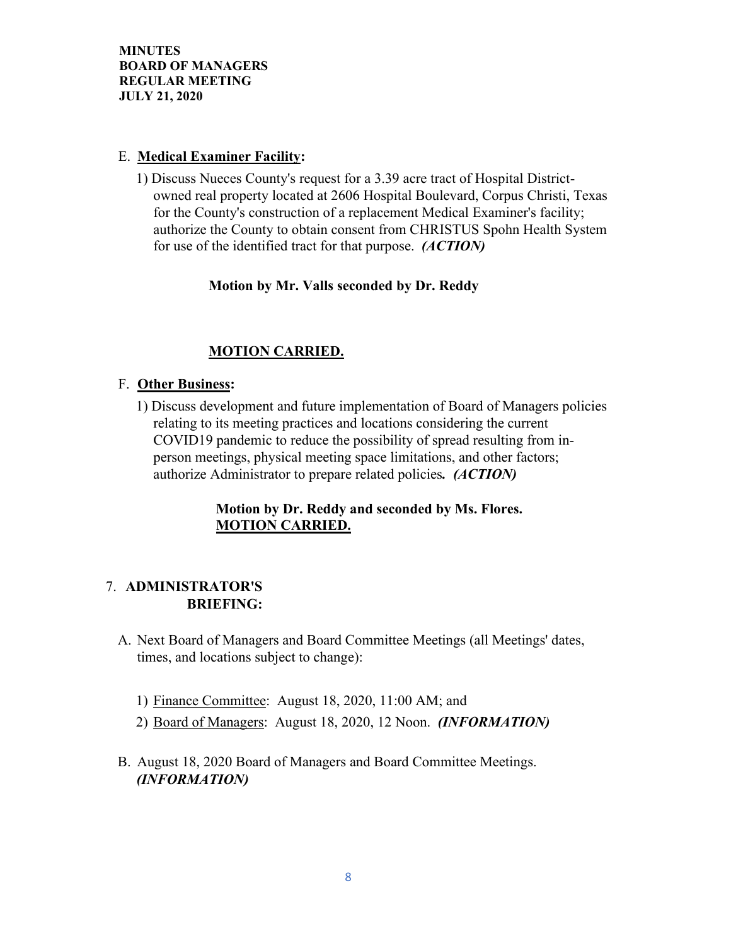### E. **Medical Examiner Facility:**

1) Discuss Nueces County's request for a 3.39 acre tract of Hospital Districtowned real property located at 2606 Hospital Boulevard, Corpus Christi, Texas for the County's construction of a replacement Medical Examiner's facility; authorize the County to obtain consent from CHRISTUS Spohn Health System for use of the identified tract for that purpose. *(ACTION)*

# **Motion by Mr. Valls seconded by Dr. Reddy**

# **MOTION CARRIED.**

### F. **Other Business:**

1) Discuss development and future implementation of Board of Managers policies relating to its meeting practices and locations considering the current COVID19 pandemic to reduce the possibility of spread resulting from inperson meetings, physical meeting space limitations, and other factors; authorize Administrator to prepare related policies*. (ACTION)*

# **Motion by Dr. Reddy and seconded by Ms. Flores. MOTION CARRIED.**

### 7. **ADMINISTRATOR'S BRIEFING:**

- A. Next Board of Managers and Board Committee Meetings (all Meetings' dates, times, and locations subject to change):
	- 1) Finance Committee: August 18, 2020, 11:00 AM; and
	- 2) Board of Managers: August 18, 2020, 12 Noon. *(INFORMATION)*
- B. August 18, 2020 Board of Managers and Board Committee Meetings. *(INFORMATION)*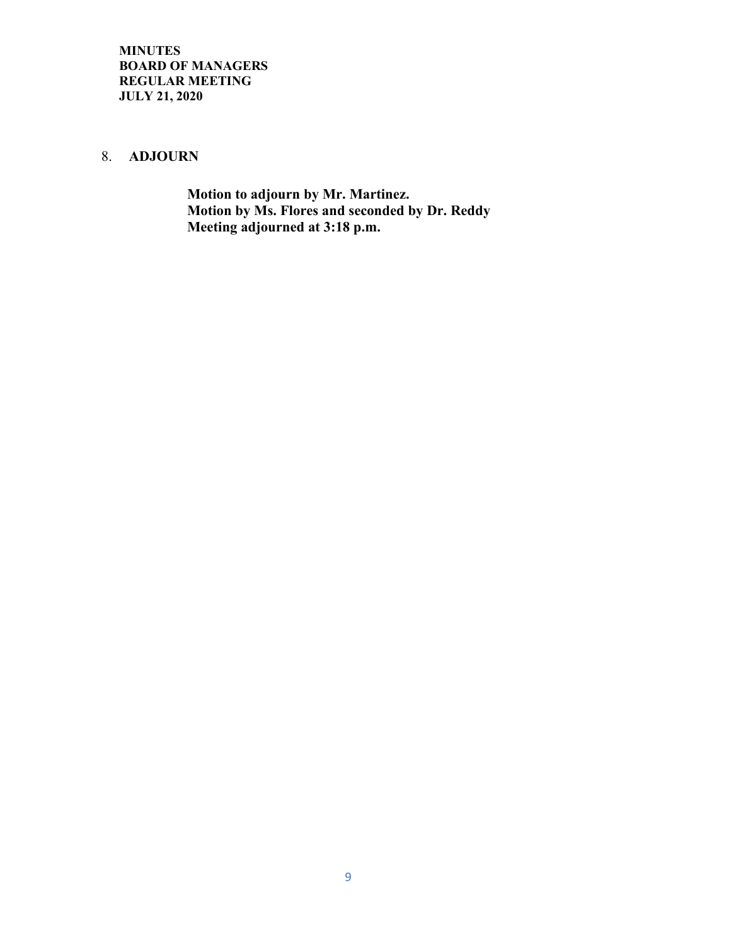#### 8. **ADJOURN**

 **Motion to adjourn by Mr. Martinez. Motion by Ms. Flores and seconded by Dr. Reddy Meeting adjourned at 3:18 p.m.**